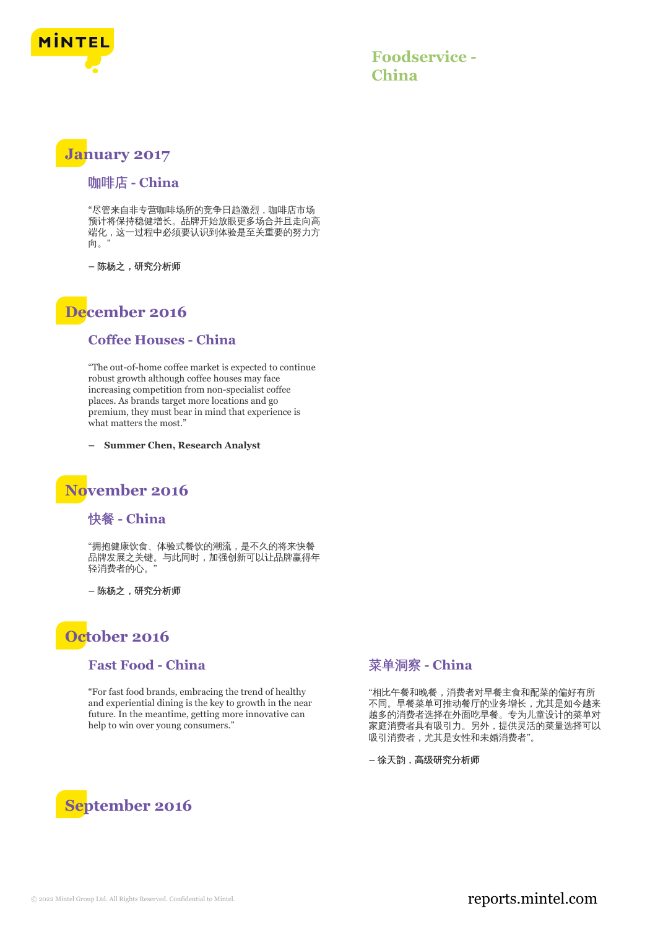

**Foodservice - China**

## **January 2017**

### 咖啡店 **- China**

"尽管来自非专营咖啡场所的竞争日趋激烈,咖啡店市场 预计将保持稳健增长。品牌开始放眼更多场合并且走向高 端化,这一过程中必须要认识到体验是至关重要的努力方 向。"

**–** 陈杨之,研究分析师

# **December 2016**

#### **Coffee Houses - China**

"The out-of-home coffee market is expected to continue robust growth although coffee houses may face increasing competition from non-specialist coffee places. As brands target more locations and go premium, they must bear in mind that experience is what matters the most.'

**– Summer Chen, Research Analyst**

## **November 2016**

### 快餐 **- China**

"拥抱健康饮食、体验式餐饮的潮流,是不久的将来快餐 品牌发展之关键。与此同时,加强创新可以让品牌赢得年 轻消费者的心。"

**–** 陈杨之,研究分析师

# **October 2016**

#### **Fast Food - China**

"For fast food brands, embracing the trend of healthy and experiential dining is the key to growth in the near future. In the meantime, getting more innovative can help to win over young consumers."

### 菜单洞察 **- China**

"相比午餐和晚餐,消费者对早餐主食和配菜的偏好有所 不同。早餐菜单可推动餐厅的业务增长,尤其是如今越来 越多的消费者选择在外面吃早餐。专为儿童设计的菜单对 家庭消费者具有吸引力。另外,提供灵活的菜量选择可以 吸引消费者,尤其是女性和未婚消费者"。

**–** 徐天韵,高级研究分析师



### © 2022 Mintel Group Ltd. All Rights Reserved. Confidential to Mintel.  $\blacksquare$  reports.mintel.com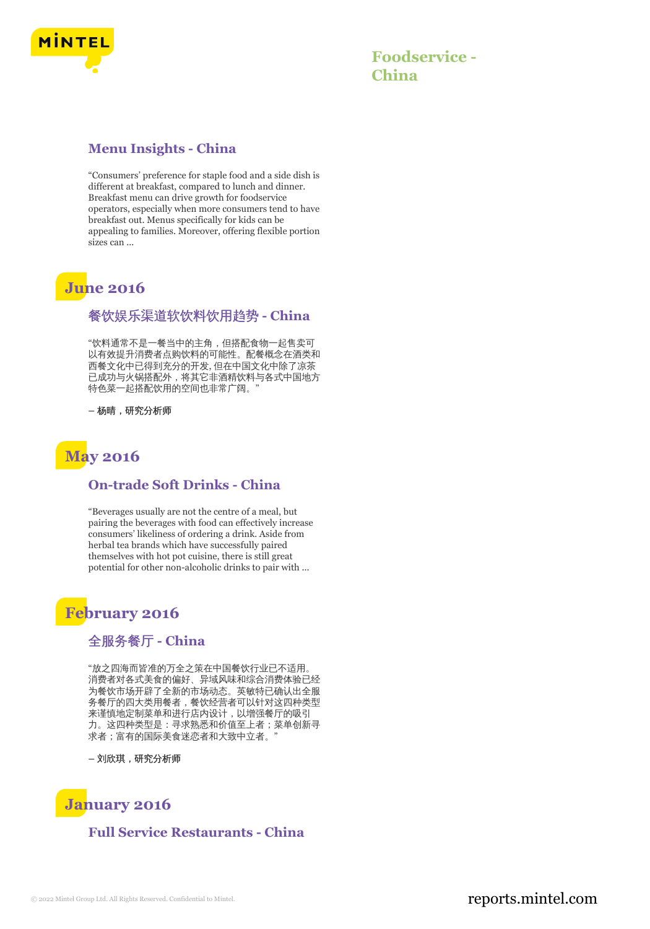

### **Menu Insights - China**

"Consumers' preference for staple food and a side dish is different at breakfast, compared to lunch and dinner. Breakfast menu can drive growth for foodservice operators, especially when more consumers tend to have breakfast out. Menus specifically for kids can be appealing to families. Moreover, offering flexible portion sizes can ...

# **June 2016**

### 餐饮娱乐渠道软饮料饮用趋势 **- China**

"饮料通常不是一餐当中的主角,但搭配食物一起售卖可 以有效提升消费者点购饮料的可能性。配餐概念在酒类和 西餐文化中已得到充分的开发, 但在中国文化中除了凉茶 已成功与火锅搭配外,将其它非酒精饮料与各式中国地方 特色菜一起搭配饮用的空间也非常广阔。"

**–** 杨晴,研究分析师



### **On-trade Soft Drinks - China**

"Beverages usually are not the centre of a meal, but pairing the beverages with food can effectively increase consumers' likeliness of ordering a drink. Aside from herbal tea brands which have successfully paired themselves with hot pot cuisine, there is still great potential for other non-alcoholic drinks to pair with ...

# **February 2016**

### 全服务餐厅 **- China**

"放之四海而皆准的万全之策在中国餐饮行业已不适用。 消费者对各式美食的偏好、异域风味和综合消费体验已经 为餐饮市场开辟了全新的市场动态。英敏特已确认出全服 务餐厅的四大类用餐者,餐饮经营者可以针对这四种类型 来谨慎地定制菜单和进行店内设计,以增强餐厅的吸引 力。这四种类型是:寻求熟悉和价值至上者;菜单创新寻 求者;富有的国际美食迷恋者和大致中立者。

**–** 刘欣琪,研究分析师

# **January 2016**

### **Full Service Restaurants - China**